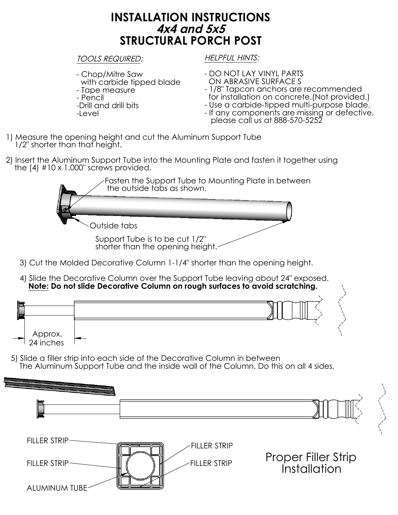## **INSTALLATION INSTRUCTIONS 4x4 and 5x5 STRUCTURAL PORCH POST**

## TOOLS REQUIRED:

- Chop/Mitre Saw
- with carbide tipped blade
- Tape measure
- Pencil
- -Drill and drill bits
- -Level

HELPFUL HINTS:

- DO NOT LAY VINYL PARTS ON ABRASIVE SURFACE S
- 1/8" Tapcon anchors are recommended for installation on concrete.(Not provided.)
- Use a carbide-tipped multi-purpose blade.
- If any components are missing or defective, please call us at 888-570-5252
- 1) Measure the opening height and cut the Aluminum Support Tube 1/2" shorter than that height.
- 2) Insert the Aluminum Support Tube into the Mounting Plate and fasten it together using the  $(4)$  #10 x 1.000" screws provided.

Support Tube is to be cut 1/2" shorter than the opening height. Fasten the Support Tube to Mounting Plate in between the outside tabs as shown. Outside tabs

- 3) Cut the Molded Decorative Column 1-1/4" shorter than the opening height.
- 4) Slide the Decorative Column over the Support Tube leaving about 24" exposed. **Note: Do not slide Decorative Column on rough surfaces to avoid scratching.**



5) Slide a filler strip into each side of the Decorative Column in between The Aluminum Support Tube and the inside wall of the Column. Do this on all 4 sides.